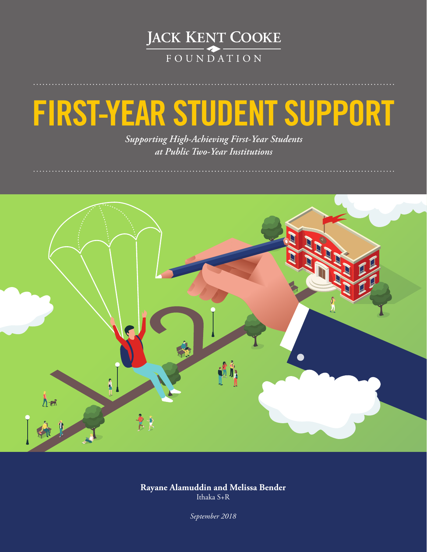

# **FIRST-YEAR STUDENT SUPPORT**

*Supporting High-Achieving First-Year Students at Public Two-Year Institutions* 



**Rayane Alamuddin and Melissa Bender** Ithaka S+R

*September 2018*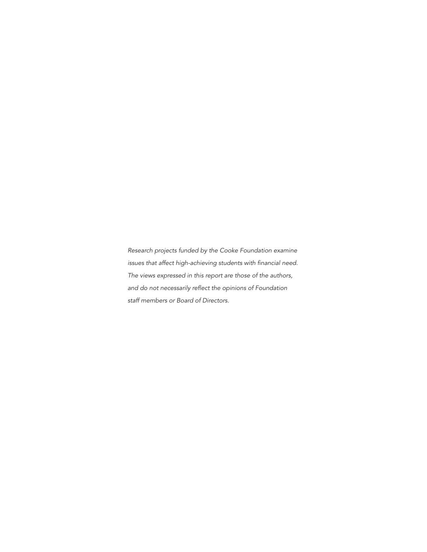*Research projects funded by the Cooke Foundation examine issues that affect high-achieving students with financial need. The views expressed in this report are those of the authors, and do not necessarily reflect the opinions of Foundation staff members or Board of Directors.*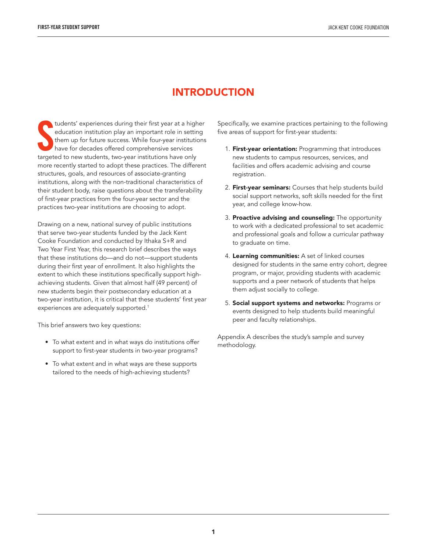## INTRODUCTION

tudents' experiences during their first year at a high education institution play an important role in settir<br>them up for future success. While four-year institution<br>have for decades offered comprehensive services<br>targeted tudents' experiences during their first year at a higher education institution play an important role in setting them up for future success. While four-year institutions have for decades offered comprehensive services more recently started to adopt these practices. The different structures, goals, and resources of associate-granting institutions, along with the non-traditional characteristics of their student body, raise questions about the transferability of first-year practices from the four-year sector and the practices two-year institutions are choosing to adopt.

Drawing on a new, national survey of public institutions that serve two-year students funded by the Jack Kent Cooke Foundation and conducted by Ithaka S+R and Two Year First Year, this research brief describes the ways that these institutions do—and do not—support students during their first year of enrollment. It also highlights the extent to which these institutions specifically support highachieving students. Given that almost half (49 percent) of new students begin their postsecondary education at a two-year institution, it is critical that these students' first year experiences are adequately supported.<sup>1</sup>

This brief answers two key questions:

- To what extent and in what ways do institutions offer support to first-year students in two-year programs?
- To what extent and in what ways are these supports tailored to the needs of high-achieving students?

Specifically, we examine practices pertaining to the following five areas of support for first-year students:

- 1. First-year orientation: Programming that introduces new students to campus resources, services, and facilities and offers academic advising and course registration.
- 2. First-year seminars: Courses that help students build social support networks, soft skills needed for the first year, and college know-how.
- 3. Proactive advising and counseling: The opportunity to work with a dedicated professional to set academic and professional goals and follow a curricular pathway to graduate on time.
- 4. Learning communities: A set of linked courses designed for students in the same entry cohort, degree program, or major, providing students with academic supports and a peer network of students that helps them adjust socially to college.
- 5. Social support systems and networks: Programs or events designed to help students build meaningful peer and faculty relationships.

Appendix A describes the study's sample and survey methodology.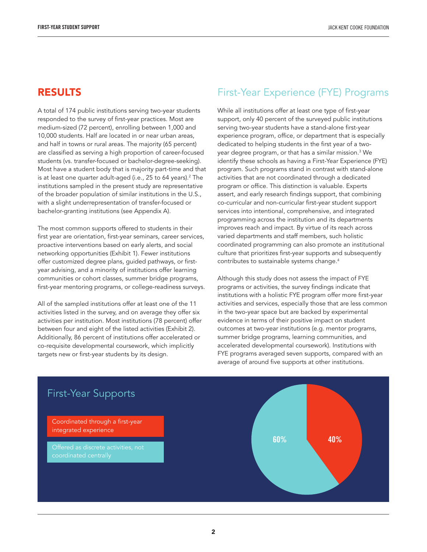#### RESULTS

A total of 174 public institutions serving two-year students responded to the survey of first-year practices. Most are medium-sized (72 percent), enrolling between 1,000 and 10,000 students. Half are located in or near urban areas, and half in towns or rural areas. The majority (65 percent) are classified as serving a high proportion of career-focused students (vs. transfer-focused or bachelor-degree-seeking). Most have a student body that is majority part-time and that is at least one quarter adult-aged (i.e., 25 to 64 years).<sup>2</sup> The institutions sampled in the present study are representative of the broader population of similar institutions in the U.S., with a slight underrepresentation of transfer-focused or bachelor-granting institutions (see Appendix A).

The most common supports offered to students in their first year are orientation, first-year seminars, career services, proactive interventions based on early alerts, and social networking opportunities (Exhibit 1). Fewer institutions offer customized degree plans, guided pathways, or firstyear advising, and a minority of institutions offer learning communities or cohort classes, summer bridge programs, first-year mentoring programs, or college-readiness surveys.

All of the sampled institutions offer at least one of the 11 activities listed in the survey, and on average they offer six activities per institution. Most institutions (78 percent) offer between four and eight of the listed activities (Exhibit 2). Additionally, 86 percent of institutions offer accelerated or co-requisite developmental coursework, which implicitly targets new or first-year students by its design.

### First-Year Experience (FYE) Programs

While all institutions offer at least one type of first-year support, only 40 percent of the surveyed public institutions serving two-year students have a stand-alone first-year experience program, office, or department that is especially dedicated to helping students in the first year of a twoyear degree program, or that has a similar mission.3 We identify these schools as having a First-Year Experience (FYE) program. Such programs stand in contrast with stand-alone activities that are not coordinated through a dedicated program or office. This distinction is valuable. Experts assert, and early research findings support, that combining co-curricular and non-curricular first-year student support services into intentional, comprehensive, and integrated programming across the institution and its departments improves reach and impact. By virtue of its reach across varied departments and staff members, such holistic coordinated programming can also promote an institutional culture that prioritizes first-year supports and subsequently contributes to sustainable systems change.4

Although this study does not assess the impact of FYE programs or activities, the survey findings indicate that institutions with a holistic FYE program offer more first-year activities and services, especially those that are less common in the two-year space but are backed by experimental evidence in terms of their positive impact on student outcomes at two-year institutions (e.g. mentor programs, summer bridge programs, learning communities, and accelerated developmental coursework). Institutions with FYE programs averaged seven supports, compared with an average of around five supports at other institutions.

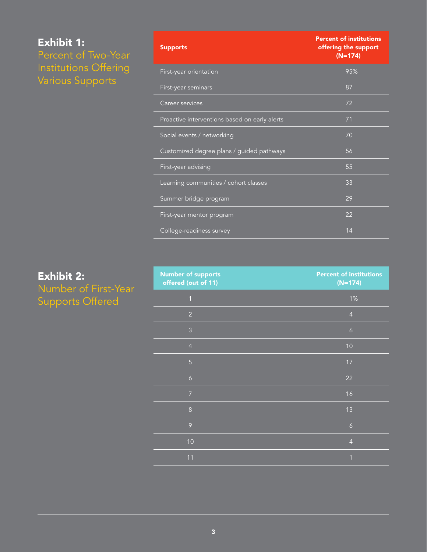# Exhibit 1: Percent of Two-Year Institutions Offering Various Supports

| <b>Supports</b>                               | <b>Percent of institutions</b><br>offering the support<br>$(N=174)$ |
|-----------------------------------------------|---------------------------------------------------------------------|
| First-year orientation                        | 95%                                                                 |
| First-year seminars                           | 87                                                                  |
| Career services                               | 72                                                                  |
| Proactive interventions based on early alerts | 71                                                                  |
| Social events / networking                    | 70                                                                  |
| Customized degree plans / guided pathways     | 56                                                                  |
| First-year advising                           | 55                                                                  |
| Learning communities / cohort classes         | 33                                                                  |
| Summer bridge program                         | 29                                                                  |
| First-year mentor program                     | 22                                                                  |
| College-readiness survey                      | 14                                                                  |

# Exhibit 2: Number of First-Year Supports Offered

| <b>Number of supports</b><br>offered (out of 11) | <b>Percent of institutions</b><br>$(N=174)$ |
|--------------------------------------------------|---------------------------------------------|
| $\overline{1}$                                   | 1%                                          |
| $\overline{2}$                                   | $\overline{4}$                              |
| $\overline{3}$                                   | $\boldsymbol{6}$                            |
| $\overline{4}$                                   | 10                                          |
| $\overline{5}$                                   | 17                                          |
| $\boldsymbol{6}$                                 | 22                                          |
| $\overline{7}$                                   | 16                                          |
| $\,8\,$                                          | 13                                          |
| 9                                                | $\ddot{\circ}$                              |
| 10                                               | $\overline{4}$                              |
| 11                                               | $\overline{1}$                              |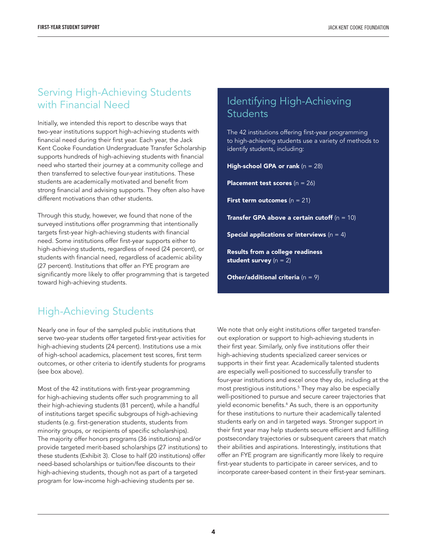### Serving High-Achieving Students with Financial Need

Initially, we intended this report to describe ways that two-year institutions support high-achieving students with financial need during their first year. Each year, the Jack Kent Cooke Foundation Undergraduate Transfer Scholarship supports hundreds of high-achieving students with financial need who started their journey at a community college and then transferred to selective four-year institutions. These students are academically motivated and benefit from strong financial and advising supports. They often also have different motivations than other students.

Through this study, however, we found that none of the surveyed institutions offer programming that intentionally targets first-year high-achieving students with financial need. Some institutions offer first-year supports either to high-achieving students, regardless of need (24 percent), or students with financial need, regardless of academic ability (27 percent). Institutions that offer an FYE program are significantly more likely to offer programming that is targeted toward high-achieving students.

## Identifying High-Achieving **Students**

The 42 institutions offering first-year programming to high-achieving students use a variety of methods to identify students, including:

**High-school GPA or rank**  $(n = 28)$ 

**Placement test scores**  $(n = 26)$ 

**First term outcomes**  $(n = 21)$ 

**Transfer GPA above a certain cutoff**  $(n = 10)$ 

Special applications or interviews  $(n = 4)$ 

Results from a college readiness student survey  $(n = 2)$ 

**Other/additional criteria**  $(n = 9)$ 

# High-Achieving Students

Nearly one in four of the sampled public institutions that serve two-year students offer targeted first-year activities for high-achieving students (24 percent). Institutions use a mix of high-school academics, placement test scores, first term outcomes, or other criteria to identify students for programs (see box above).

Most of the 42 institutions with first-year programming for high-achieving students offer such programming to all their high-achieving students (81 percent), while a handful of institutions target specific subgroups of high-achieving students (e.g. first-generation students, students from minority groups, or recipients of specific scholarships). The majority offer honors programs (36 institutions) and/or provide targeted merit-based scholarships (27 institutions) to these students (Exhibit 3). Close to half (20 institutions) offer need-based scholarships or tuition/fee discounts to their high-achieving students, though not as part of a targeted program for low-income high-achieving students per se.

We note that only eight institutions offer targeted transferout exploration or support to high-achieving students in their first year. Similarly, only five institutions offer their high-achieving students specialized career services or supports in their first year. Academically talented students are especially well-positioned to successfully transfer to four-year institutions and excel once they do, including at the most prestigious institutions.5 They may also be especially well-positioned to pursue and secure career trajectories that yield economic benefits.<sup>6</sup> As such, there is an opportunity for these institutions to nurture their academically talented students early on and in targeted ways. Stronger support in their first year may help students secure efficient and fulfilling postsecondary trajectories or subsequent careers that match their abilities and aspirations. Interestingly, institutions that offer an FYE program are significantly more likely to require first-year students to participate in career services, and to incorporate career-based content in their first-year seminars.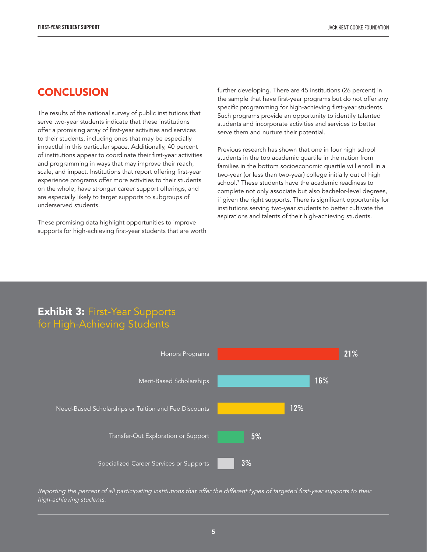#### **CONCLUSION**

The results of the national survey of public institutions that serve two-year students indicate that these institutions offer a promising array of first-year activities and services to their students, including ones that may be especially impactful in this particular space. Additionally, 40 percent of institutions appear to coordinate their first-year activities and programming in ways that may improve their reach, scale, and impact. Institutions that report offering first-year experience programs offer more activities to their students on the whole, have stronger career support offerings, and are especially likely to target supports to subgroups of underserved students.

These promising data highlight opportunities to improve supports for high-achieving first-year students that are worth further developing. There are 45 institutions (26 percent) in the sample that have first-year programs but do not offer any specific programming for high-achieving first-year students. Such programs provide an opportunity to identify talented students and incorporate activities and services to better serve them and nurture their potential.

Previous research has shown that one in four high school students in the top academic quartile in the nation from families in the bottom socioeconomic quartile will enroll in a two-year (or less than two-year) college initially out of high school.7 These students have the academic readiness to complete not only associate but also bachelor-level degrees, if given the right supports. There is significant opportunity for institutions serving two-year students to better cultivate the aspirations and talents of their high-achieving students.

# **Exhibit 3: First-Year Supports** for High-Achieving Students



*Reporting the percent of all participating institutions that offer the different types of targeted first-year supports to their high-achieving students.*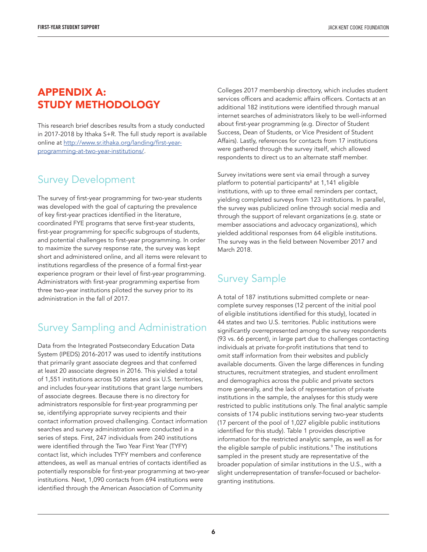## APPENDIX A: STUDY METHODOLOGY

This research brief describes results from a study conducted in 2017-2018 by Ithaka S+R. The full study report is available online at [http://www.sr.ithaka.org/landing/first-year](http://www.sr.ithaka.org/landing/first-year-programming-at-two-year-institutions/)[programming-at-two-year-institutions/.](http://www.sr.ithaka.org/landing/first-year-programming-at-two-year-institutions/)

# Survey Development

The survey of first-year programming for two-year students was developed with the goal of capturing the prevalence of key first-year practices identified in the literature, coordinated FYE programs that serve first-year students, first-year programming for specific subgroups of students, and potential challenges to first-year programming. In order to maximize the survey response rate, the survey was kept short and administered online, and all items were relevant to institutions regardless of the presence of a formal first-year experience program or their level of first-year programming. Administrators with first-year programming expertise from three two-year institutions piloted the survey prior to its administration in the fall of 2017.

# Survey Sampling and Administration

Data from the Integrated Postsecondary Education Data System (IPEDS) 2016-2017 was used to identify institutions that primarily grant associate degrees and that conferred at least 20 associate degrees in 2016. This yielded a total of 1,551 institutions across 50 states and six U.S. territories, and includes four-year institutions that grant large numbers of associate degrees. Because there is no directory for administrators responsible for first-year programming per se, identifying appropriate survey recipients and their contact information proved challenging. Contact information searches and survey administration were conducted in a series of steps. First, 247 individuals from 240 institutions were identified through the Two Year First Year (TYFY) contact list, which includes TYFY members and conference attendees, as well as manual entries of contacts identified as potentially responsible for first-year programming at two-year institutions. Next, 1,090 contacts from 694 institutions were identified through the American Association of Community

Colleges 2017 membership directory, which includes student services officers and academic affairs officers. Contacts at an additional 182 institutions were identified through manual internet searches of administrators likely to be well-informed about first-year programming (e.g. Director of Student Success, Dean of Students, or Vice President of Student Affairs). Lastly, references for contacts from 17 institutions were gathered through the survey itself, which allowed respondents to direct us to an alternate staff member.

Survey invitations were sent via email through a survey platform to potential participants<sup>8</sup> at 1,141 eligible institutions, with up to three email reminders per contact, yielding completed surveys from 123 institutions. In parallel, the survey was publicized online through social media and through the support of relevant organizations (e.g. state or member associations and advocacy organizations), which yielded additional responses from 64 eligible institutions. The survey was in the field between November 2017 and March 2018.

# Survey Sample

A total of 187 institutions submitted complete or nearcomplete survey responses (12 percent of the initial pool of eligible institutions identified for this study), located in 44 states and two U.S. territories. Public institutions were significantly overrepresented among the survey respondents (93 vs. 66 percent), in large part due to challenges contacting individuals at private for-profit institutions that tend to omit staff information from their websites and publicly available documents. Given the large differences in funding structures, recruitment strategies, and student enrollment and demographics across the public and private sectors more generally, and the lack of representation of private institutions in the sample, the analyses for this study were restricted to public institutions only. The final analytic sample consists of 174 public institutions serving two-year students (17 percent of the pool of 1,027 eligible public institutions identified for this study). Table 1 provides descriptive information for the restricted analytic sample, as well as for the eligible sample of public institutions.9 The institutions sampled in the present study are representative of the broader population of similar institutions in the U.S., with a slight underrepresentation of transfer-focused or bachelorgranting institutions.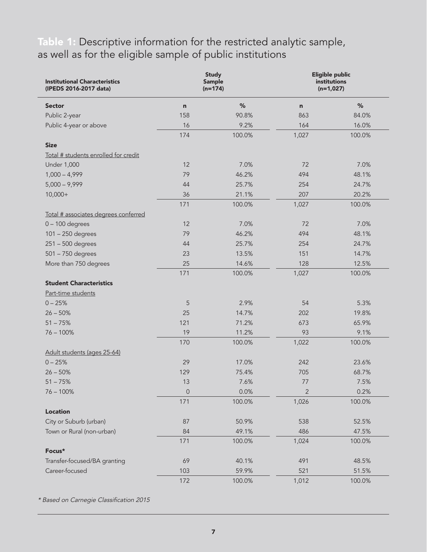# Table 1: Descriptive information for the restricted analytic sample, as well as for the eligible sample of public institutions

| <b>Institutional Characteristics</b><br>(IPEDS 2016-2017 data)<br><b>Sector</b> | <b>Study</b><br><b>Sample</b><br>$(n=174)$ |        | Eligible public<br>institutions<br>$(n=1,027)$ |        |
|---------------------------------------------------------------------------------|--------------------------------------------|--------|------------------------------------------------|--------|
|                                                                                 | $\mathsf{n}$                               | $\%$   | n                                              | $\%$   |
| Public 2-year                                                                   | 158                                        | 90.8%  | 863                                            | 84.0%  |
| Public 4-year or above                                                          | 16                                         | 9.2%   | 164                                            | 16.0%  |
|                                                                                 | 174                                        | 100.0% | 1,027                                          | 100.0% |
| <b>Size</b>                                                                     |                                            |        |                                                |        |
| Total # students enrolled for credit                                            |                                            |        |                                                |        |
| <b>Under 1,000</b>                                                              | 12                                         | 7.0%   | 72                                             | 7.0%   |
| $1,000 - 4,999$                                                                 | 79                                         | 46.2%  | 494                                            | 48.1%  |
| $5,000 - 9,999$                                                                 | 44                                         | 25.7%  | 254                                            | 24.7%  |
| $10,000+$                                                                       | 36                                         | 21.1%  | 207                                            | 20.2%  |
|                                                                                 | 171                                        | 100.0% | 1,027                                          | 100.0% |
| Total # associates degrees conferred                                            |                                            |        |                                                |        |
| $0 - 100$ degrees                                                               | 12                                         | 7.0%   | 72                                             | 7.0%   |
| 101 - 250 degrees                                                               | 79                                         | 46.2%  | 494                                            | 48.1%  |
| $251 - 500$ degrees                                                             | 44                                         | 25.7%  | 254                                            | 24.7%  |
| 501 - 750 degrees                                                               | 23                                         | 13.5%  | 151                                            | 14.7%  |
| More than 750 degrees                                                           | 25                                         | 14.6%  | 128                                            | 12.5%  |
|                                                                                 | 171                                        | 100.0% | 1,027                                          | 100.0% |
| <b>Student Characteristics</b>                                                  |                                            |        |                                                |        |
| Part-time students                                                              |                                            |        |                                                |        |
| $0 - 25%$                                                                       | 5                                          | 2.9%   | 54                                             | 5.3%   |
| $26 - 50%$                                                                      | 25                                         | 14.7%  | 202                                            | 19.8%  |
| $51 - 75%$                                                                      | 121                                        | 71.2%  | 673                                            | 65.9%  |
| $76 - 100\%$                                                                    | 19                                         | 11.2%  | 93                                             | 9.1%   |
|                                                                                 | 170                                        | 100.0% | 1,022                                          | 100.0% |
| Adult students (ages 25-64)                                                     |                                            |        |                                                |        |
| $0 - 25%$                                                                       | 29                                         | 17.0%  | 242                                            | 23.6%  |
| $26 - 50%$                                                                      | 129                                        | 75.4%  | 705                                            | 68.7%  |
| $51 - 75%$                                                                      | 13                                         | 7.6%   | 77                                             | 7.5%   |
| $76 - 100\%$                                                                    | $\overline{0}$                             | 0.0%   | $\overline{2}$                                 | 0.2%   |
|                                                                                 | 171                                        | 100.0% | 1,026                                          | 100.0% |
| <b>Location</b>                                                                 |                                            |        |                                                |        |
| City or Suburb (urban)                                                          | 87                                         | 50.9%  | 538                                            | 52.5%  |
| Town or Rural (non-urban)                                                       | 84                                         | 49.1%  | 486                                            | 47.5%  |
|                                                                                 | 171                                        | 100.0% | 1,024                                          | 100.0% |
| Focus*                                                                          |                                            |        |                                                |        |
| Transfer-focused/BA granting                                                    | 69                                         | 40.1%  | 491                                            | 48.5%  |
| Career-focused                                                                  | 103                                        | 59.9%  | 521                                            | 51.5%  |
|                                                                                 | 172                                        | 100.0% | 1,012                                          | 100.0% |

*\* Based on Carnegie Classification 2015*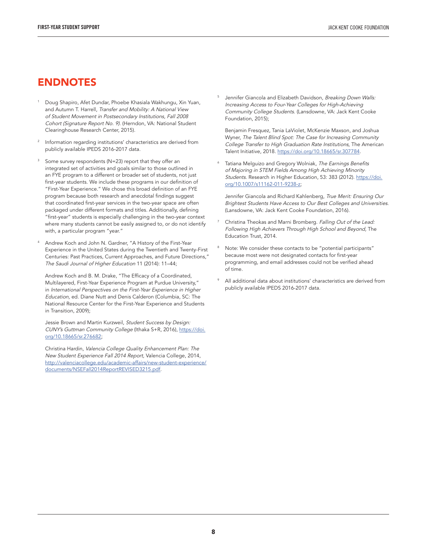#### ENDNOTES

- <sup>1</sup> Doug Shapiro, Afet Dundar, Phoebe Khasiala Wakhungu, Xin Yuan, and Autumn T. Harrell, *Transfer and Mobility: A National View of Student Movement in Postsecondary Institutions, Fall 2008 Cohort (Signature Report No. 9).* (Herndon, VA: National Student Clearinghouse Research Center, 2015).
- Information regarding institutions' characteristics are derived from publicly available IPEDS 2016-2017 data.
- Some survey respondents (N=23) report that they offer an integrated set of activities and goals similar to those outlined in an FYE program to a different or broader set of students, not just first-year students. We include these programs in our definition of "First-Year Experience." We chose this broad definition of an FYE program because both research and anecdotal findings suggest that coordinated first-year services in the two-year space are often packaged under different formats and titles. Additionally, defining "first-year" students is especially challenging in the two-year context where many students cannot be easily assigned to, or do not identify with, a particular program "year."
- <sup>4</sup> Andrew Koch and John N. Gardner, "A History of the First-Year Experience in the United States during the Twentieth and Twenty-First Centuries: Past Practices, Current Approaches, and Future Directions," *The Saudi Journal of Higher Education* 11 (2014): 11–44;

Andrew Koch and B. M. Drake, "The Efficacy of a Coordinated, Multilayered, First-Year Experience Program at Purdue University," in *International Perspectives on the First-Year Experience in Higher Education,* ed. Diane Nutt and Denis Calderon (Columbia, SC: The National Resource Center for the First-Year Experience and Students in Transition, 2009);

Jessie Brown and Martin Kurzweil, *Student Success by Design: CUNY's Guttman Community College* (Ithaka S+R, 2016), [https://doi.](https://doi.org/10.18665/sr.276682) [org/10.18665/sr.276682](https://doi.org/10.18665/sr.276682);

Christina Hardin, *Valencia College Quality Enhancement Plan: The New Student Experience Fall 2014 Report,* Valencia College, 2014, [http://valenciacollege.edu/academic-affairs/new-student-experience/](http://valenciacollege.edu/academic-affairs/new-student-experience/documents/NSEFall2014ReportREVISED3215.pdf) [documents/NSEFall2014ReportREVISED3215.pdf](http://valenciacollege.edu/academic-affairs/new-student-experience/documents/NSEFall2014ReportREVISED3215.pdf).

<sup>5</sup> Jennifer Giancola and Elizabeth Davidson, *Breaking Down Walls: Increasing Access to Four-Year Colleges for High-Achieving Community College Students.* (Lansdowne, VA: Jack Kent Cooke Foundation, 2015);

Benjamin Fresquez, Tania LaViolet, McKenzie Maxson, and Joshua Wyner, *The Talent Blind Spot: The Case for Increasing Community College Transfer to High Graduation Rate Institutions,* The American Talent Initiative, 2018. [https://doi.org/10.18665/sr.307784.](https://doi.org/10.18665/sr.307784)

<sup>6</sup> Tatiana Melguizo and Gregory Wolniak, *The Earnings Benefits of Majoring in STEM Fields Among High Achieving Minority Students.* Research in Higher Education, 53: 383 (2012). [https://doi.](https://doi.org/10.1007/s11162-011-9238-z) [org/10.1007/s11162-011-9238-z;](https://doi.org/10.1007/s11162-011-9238-z)

Jennifer Giancola and Richard Kahlenberg, *True Merit: Ensuring Our Brightest Students Have Access to Our Best Colleges and Universities.*  (Lansdowne, VA: Jack Kent Cooke Foundation, 2016).

- <sup>7</sup> Christina Theokas and Marni Bromberg. *Falling Out of the Lead: Following High Achievers Through High School and Beyond,* The Education Trust, 2014.
- <sup>8</sup> Note: We consider these contacts to be "potential participants" because most were not designated contacts for first-year programming, and email addresses could not be verified ahead of time.
- All additional data about institutions' characteristics are derived from publicly available IPEDS 2016-2017 data.